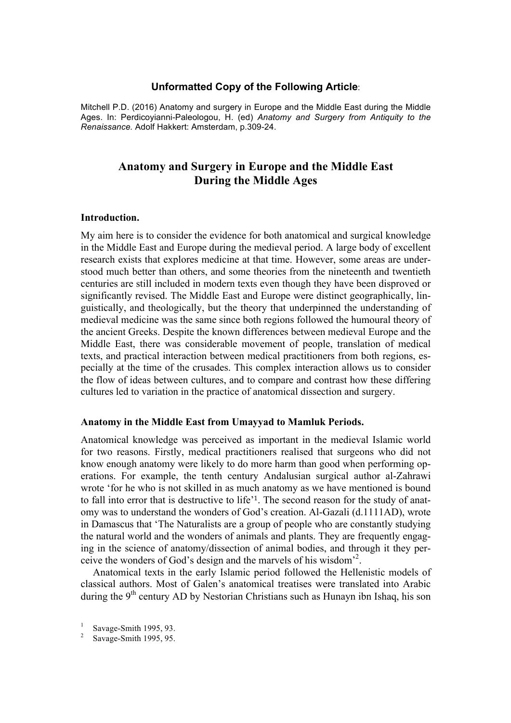# **Unformatted Copy of the Following Article**:

Mitchell P.D. (2016) Anatomy and surgery in Europe and the Middle East during the Middle Ages. In: Perdicoyianni-Paleologou, H. (ed) *Anatomy and Surgery from Antiquity to the Renaissance.* Adolf Hakkert: Amsterdam, p.309-24.

# **Anatomy and Surgery in Europe and the Middle East During the Middle Ages**

# **Introduction.**

My aim here is to consider the evidence for both anatomical and surgical knowledge in the Middle East and Europe during the medieval period. A large body of excellent research exists that explores medicine at that time. However, some areas are understood much better than others, and some theories from the nineteenth and twentieth centuries are still included in modern texts even though they have been disproved or significantly revised. The Middle East and Europe were distinct geographically, linguistically, and theologically, but the theory that underpinned the understanding of medieval medicine was the same since both regions followed the humoural theory of the ancient Greeks. Despite the known differences between medieval Europe and the Middle East, there was considerable movement of people, translation of medical texts, and practical interaction between medical practitioners from both regions, especially at the time of the crusades. This complex interaction allows us to consider the flow of ideas between cultures, and to compare and contrast how these differing cultures led to variation in the practice of anatomical dissection and surgery.

### **Anatomy in the Middle East from Umayyad to Mamluk Periods.**

Anatomical knowledge was perceived as important in the medieval Islamic world for two reasons. Firstly, medical practitioners realised that surgeons who did not know enough anatomy were likely to do more harm than good when performing operations. For example, the tenth century Andalusian surgical author al-Zahrawi wrote 'for he who is not skilled in as much anatomy as we have mentioned is bound to fall into error that is destructive to life'1. The second reason for the study of anatomy was to understand the wonders of God's creation. Al-Gazali (d.1111AD), wrote in Damascus that 'The Naturalists are a group of people who are constantly studying the natural world and the wonders of animals and plants. They are frequently engaging in the science of anatomy/dissection of animal bodies, and through it they perceive the wonders of God's design and the marvels of his wisdom'2 .

Anatomical texts in the early Islamic period followed the Hellenistic models of classical authors. Most of Galen's anatomical treatises were translated into Arabic during the  $9<sup>th</sup>$  century AD by Nestorian Christians such as Hunayn ibn Ishaq, his son

Savage-Smith 1995, 93.

Savage-Smith 1995, 95.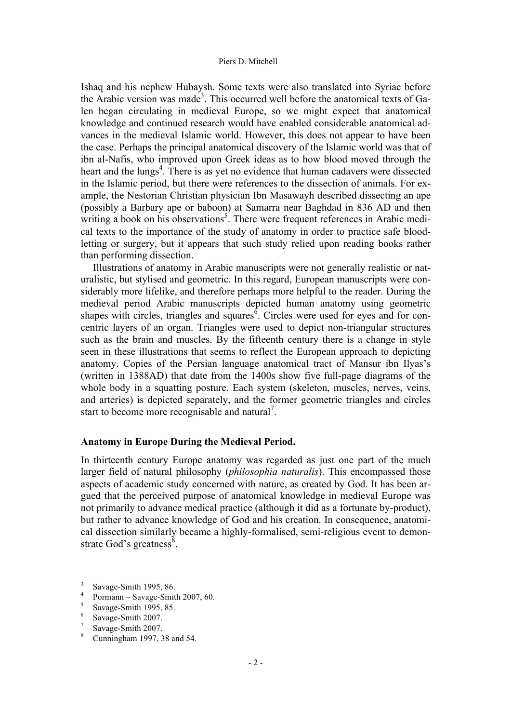Ishaq and his nephew Hubaysh. Some texts were also translated into Syriac before the Arabic version was made<sup>3</sup>. This occurred well before the anatomical texts of Galen began circulating in medieval Europe, so we might expect that anatomical knowledge and continued research would have enabled considerable anatomical advances in the medieval Islamic world. However, this does not appear to have been the case. Perhaps the principal anatomical discovery of the Islamic world was that of ibn al-Nafis, who improved upon Greek ideas as to how blood moved through the heart and the lungs<sup>4</sup>. There is as yet no evidence that human cadavers were dissected in the Islamic period, but there were references to the dissection of animals. For example, the Nestorian Christian physician Ibn Masawayh described dissecting an ape (possibly a Barbary ape or baboon) at Samarra near Baghdad in 836 AD and then writing a book on his observations<sup>5</sup>. There were frequent references in Arabic medical texts to the importance of the study of anatomy in order to practice safe bloodletting or surgery, but it appears that such study relied upon reading books rather than performing dissection.

Illustrations of anatomy in Arabic manuscripts were not generally realistic or naturalistic, but stylised and geometric. In this regard, European manuscripts were considerably more lifelike, and therefore perhaps more helpful to the reader. During the medieval period Arabic manuscripts depicted human anatomy using geometric shapes with circles, triangles and squares $<sup>6</sup>$ . Circles were used for eyes and for con-</sup> centric layers of an organ. Triangles were used to depict non-triangular structures such as the brain and muscles. By the fifteenth century there is a change in style seen in these illustrations that seems to reflect the European approach to depicting anatomy. Copies of the Persian language anatomical tract of Mansur ibn Ilyas's (written in 1388AD) that date from the 1400s show five full-page diagrams of the whole body in a squatting posture. Each system (skeleton, muscles, nerves, veins, and arteries) is depicted separately, and the former geometric triangles and circles start to become more recognisable and natural<sup>7</sup>.

# **Anatomy in Europe During the Medieval Period.**

In thirteenth century Europe anatomy was regarded as just one part of the much larger field of natural philosophy (*philosophia naturalis*). This encompassed those aspects of academic study concerned with nature, as created by God. It has been argued that the perceived purpose of anatomical knowledge in medieval Europe was not primarily to advance medical practice (although it did as a fortunate by-product), but rather to advance knowledge of God and his creation. In consequence, anatomical dissection similarly became a highly-formalised, semi-religious event to demonstrate God's greatness $\frac{8}{3}$ .

- $\frac{4}{5}$  Pormann Savage-Smith 2007, 60.
- $\frac{5}{6}$  Savage-Smith 1995, 85.
- $\frac{6}{7}$  Savage-Smith 2007.
- $\frac{7}{8}$  Savage-Smith 2007.
- Cunningham 1997, 38 and 54.

 $\frac{3}{4}$  Savage-Smith 1995, 86.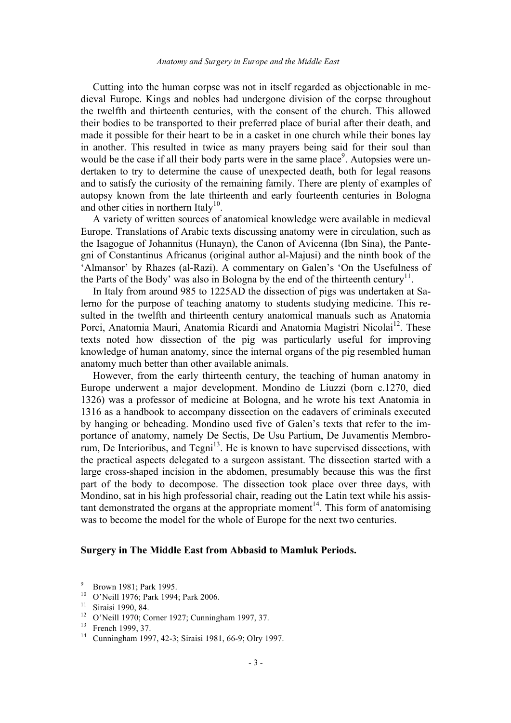Cutting into the human corpse was not in itself regarded as objectionable in medieval Europe. Kings and nobles had undergone division of the corpse throughout the twelfth and thirteenth centuries, with the consent of the church. This allowed their bodies to be transported to their preferred place of burial after their death, and made it possible for their heart to be in a casket in one church while their bones lay in another. This resulted in twice as many prayers being said for their soul than would be the case if all their body parts were in the same place<sup>9</sup>. Autopsies were undertaken to try to determine the cause of unexpected death, both for legal reasons and to satisfy the curiosity of the remaining family. There are plenty of examples of autopsy known from the late thirteenth and early fourteenth centuries in Bologna and other cities in northern Italy<sup>10</sup>.

A variety of written sources of anatomical knowledge were available in medieval Europe. Translations of Arabic texts discussing anatomy were in circulation, such as the Isagogue of Johannitus (Hunayn), the Canon of Avicenna (Ibn Sina), the Pantegni of Constantinus Africanus (original author al-Majusi) and the ninth book of the 'Almansor' by Rhazes (al-Razi). A commentary on Galen's 'On the Usefulness of the Parts of the Body' was also in Bologna by the end of the thirteenth century<sup>11</sup>.

In Italy from around 985 to 1225AD the dissection of pigs was undertaken at Salerno for the purpose of teaching anatomy to students studying medicine. This resulted in the twelfth and thirteenth century anatomical manuals such as Anatomia Porci, Anatomia Mauri, Anatomia Ricardi and Anatomia Magistri Nicolai<sup>12</sup>. These texts noted how dissection of the pig was particularly useful for improving knowledge of human anatomy, since the internal organs of the pig resembled human anatomy much better than other available animals.

However, from the early thirteenth century, the teaching of human anatomy in Europe underwent a major development. Mondino de Liuzzi (born c.1270, died 1326) was a professor of medicine at Bologna, and he wrote his text Anatomia in 1316 as a handbook to accompany dissection on the cadavers of criminals executed by hanging or beheading. Mondino used five of Galen's texts that refer to the importance of anatomy, namely De Sectis, De Usu Partium, De Juvamentis Membrorum, De Interioribus, and Tegni<sup>13</sup>. He is known to have supervised dissections, with the practical aspects delegated to a surgeon assistant. The dissection started with a large cross-shaped incision in the abdomen, presumably because this was the first part of the body to decompose. The dissection took place over three days, with Mondino, sat in his high professorial chair, reading out the Latin text while his assistant demonstrated the organs at the appropriate moment<sup>14</sup>. This form of anatomising was to become the model for the whole of Europe for the next two centuries.

### **Surgery in The Middle East from Abbasid to Mamluk Periods.**

<sup>9</sup> Brown 1981; Park 1995.

<sup>10</sup> O'Neill 1976; Park 1994; Park 2006.

<sup>11</sup> Siraisi 1990, 84.

<sup>12</sup> O'Neill 1970; Corner 1927; Cunningham 1997, 37.

 $^{13}$  French 1999, 37.

Cunningham 1997, 42-3; Siraisi 1981, 66-9; Olry 1997.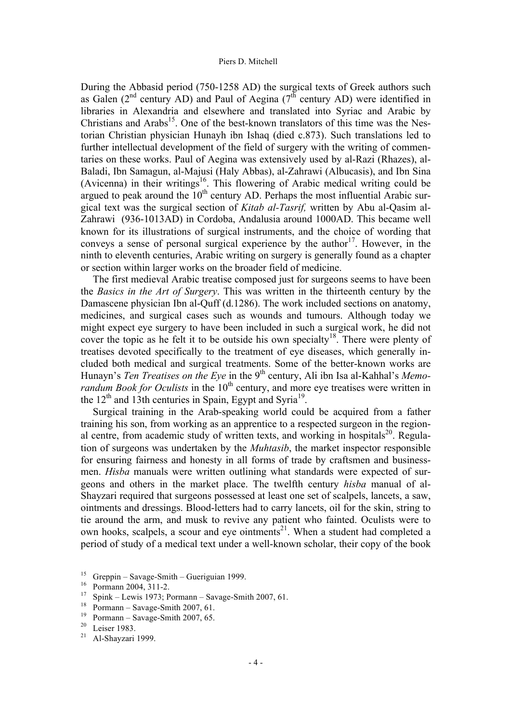During the Abbasid period (750-1258 AD) the surgical texts of Greek authors such as Galen ( $2<sup>nd</sup>$  century AD) and Paul of Aegina ( $7<sup>th</sup>$  century AD) were identified in libraries in Alexandria and elsewhere and translated into Syriac and Arabic by Christians and Arabs<sup>15</sup>. One of the best-known translators of this time was the Nestorian Christian physician Hunayh ibn Ishaq (died c.873). Such translations led to further intellectual development of the field of surgery with the writing of commentaries on these works. Paul of Aegina was extensively used by al-Razi (Rhazes), al-Baladi, Ibn Samagun, al-Majusi (Haly Abbas), al-Zahrawi (Albucasis), and Ibn Sina (Avicenna) in their writings<sup>16</sup>. This flowering of Arabic medical writing could be argued to peak around the  $10<sup>th</sup>$  century AD. Perhaps the most influential Arabic surgical text was the surgical section of *Kitab al-Tasrif,* written by Abu al-Qasim al-Zahrawi (936-1013AD) in Cordoba, Andalusia around 1000AD. This became well known for its illustrations of surgical instruments, and the choice of wording that conveys a sense of personal surgical experience by the author<sup>17</sup>. However, in the ninth to eleventh centuries, Arabic writing on surgery is generally found as a chapter or section within larger works on the broader field of medicine.

The first medieval Arabic treatise composed just for surgeons seems to have been the *Basics in the Art of Surgery*. This was written in the thirteenth century by the Damascene physician Ibn al-Quff (d.1286). The work included sections on anatomy, medicines, and surgical cases such as wounds and tumours. Although today we might expect eye surgery to have been included in such a surgical work, he did not cover the topic as he felt it to be outside his own specialty<sup>18</sup>. There were plenty of treatises devoted specifically to the treatment of eye diseases, which generally included both medical and surgical treatments. Some of the better-known works are Hunayn's Ten Treatises on the Eye in the 9<sup>th</sup> century, Ali ibn Isa al-Kahhal's Memo*randum Book for Oculists* in the 10<sup>th</sup> century, and more eye treatises were written in the  $12<sup>th</sup>$  and 13th centuries in Spain, Egypt and Syria<sup>19</sup>.

Surgical training in the Arab-speaking world could be acquired from a father training his son, from working as an apprentice to a respected surgeon in the regional centre, from academic study of written texts, and working in hospitals<sup>20</sup>. Regulation of surgeons was undertaken by the *Muhtasib*, the market inspector responsible for ensuring fairness and honesty in all forms of trade by craftsmen and businessmen. *Hisba* manuals were written outlining what standards were expected of surgeons and others in the market place. The twelfth century *hisba* manual of al-Shayzari required that surgeons possessed at least one set of scalpels, lancets, a saw, ointments and dressings. Blood-letters had to carry lancets, oil for the skin, string to tie around the arm, and musk to revive any patient who fainted. Oculists were to own hooks, scalpels, a scour and eye ointments<sup>21</sup>. When a student had completed a period of study of a medical text under a well-known scholar, their copy of the book

<sup>&</sup>lt;sup>15</sup> Greppin – Savage-Smith – Gueriguian 1999.<br><sup>16</sup> Pormann 2004, 311-2.<br><sup>17</sup> Spink – Lewis 1973: Pormann Savage Smi

 $Spink - Lewis$  1973; Pormann – Savage-Smith 2007, 61.

<sup>&</sup>lt;sup>18</sup> Pormann – Savage-Smith 2007, 61.

<sup>&</sup>lt;sup>19</sup> Pormann – Savage-Smith 2007, 65.<br><sup>20</sup> Leiser 1983

 $\frac{20}{21}$  Leiser 1983.

Al-Shayzari 1999.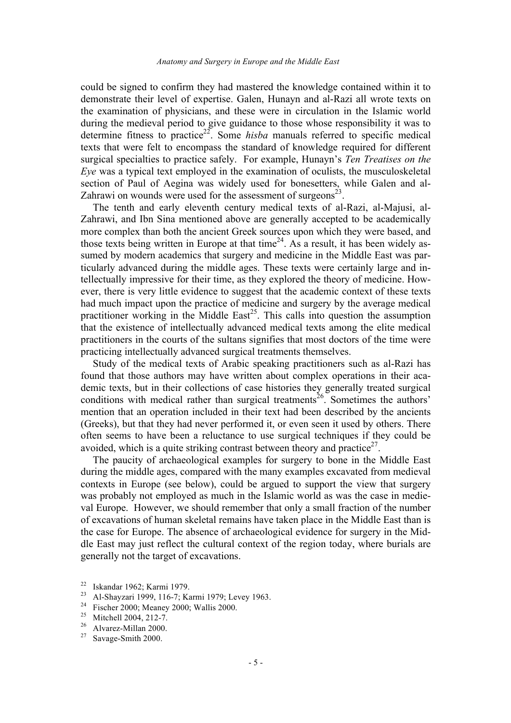could be signed to confirm they had mastered the knowledge contained within it to demonstrate their level of expertise. Galen, Hunayn and al-Razi all wrote texts on the examination of physicians, and these were in circulation in the Islamic world during the medieval period to give guidance to those whose responsibility it was to determine fitness to practice<sup>22</sup>. Some *hisba* manuals referred to specific medical texts that were felt to encompass the standard of knowledge required for different surgical specialties to practice safely. For example, Hunayn's *Ten Treatises on the Eye* was a typical text employed in the examination of oculists, the musculoskeletal section of Paul of Aegina was widely used for bonesetters, while Galen and al-Zahrawi on wounds were used for the assessment of surgeons $2<sup>3</sup>$ .

The tenth and early eleventh century medical texts of al-Razi, al-Majusi, al-Zahrawi, and Ibn Sina mentioned above are generally accepted to be academically more complex than both the ancient Greek sources upon which they were based, and those texts being written in Europe at that time<sup>24</sup>. As a result, it has been widely assumed by modern academics that surgery and medicine in the Middle East was particularly advanced during the middle ages. These texts were certainly large and intellectually impressive for their time, as they explored the theory of medicine. However, there is very little evidence to suggest that the academic context of these texts had much impact upon the practice of medicine and surgery by the average medical practitioner working in the Middle East<sup>25</sup>. This calls into question the assumption that the existence of intellectually advanced medical texts among the elite medical practitioners in the courts of the sultans signifies that most doctors of the time were practicing intellectually advanced surgical treatments themselves.

Study of the medical texts of Arabic speaking practitioners such as al-Razi has found that those authors may have written about complex operations in their academic texts, but in their collections of case histories they generally treated surgical conditions with medical rather than surgical treatments<sup>26</sup>. Sometimes the authors' mention that an operation included in their text had been described by the ancients (Greeks), but that they had never performed it, or even seen it used by others. There often seems to have been a reluctance to use surgical techniques if they could be avoided, which is a quite striking contrast between theory and practice<sup>27</sup>.

The paucity of archaeological examples for surgery to bone in the Middle East during the middle ages, compared with the many examples excavated from medieval contexts in Europe (see below), could be argued to support the view that surgery was probably not employed as much in the Islamic world as was the case in medieval Europe. However, we should remember that only a small fraction of the number of excavations of human skeletal remains have taken place in the Middle East than is the case for Europe. The absence of archaeological evidence for surgery in the Middle East may just reflect the cultural context of the region today, where burials are generally not the target of excavations.

<sup>22</sup> Iskandar 1962; Karmi 1979.

<sup>23</sup> Al-Shayzari 1999, 116-7; Karmi 1979; Levey 1963.

<sup>24</sup> Fischer 2000; Meaney 2000; Wallis 2000.

<sup>&</sup>lt;sup>25</sup> Mitchell 2004, 212-7.<br> $^{26}$  Alvarez Millar 2000

 $\frac{26}{27}$  Alvarez-Millan 2000.

Savage-Smith 2000.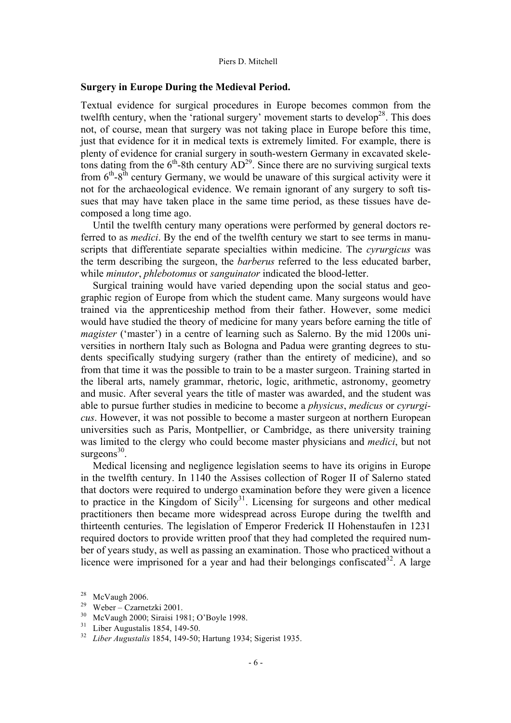### **Surgery in Europe During the Medieval Period.**

Textual evidence for surgical procedures in Europe becomes common from the twelfth century, when the 'rational surgery' movement starts to develop<sup>28</sup>. This does not, of course, mean that surgery was not taking place in Europe before this time, just that evidence for it in medical texts is extremely limited. For example, there is plenty of evidence for cranial surgery in south-western Germany in excavated skeletons dating from the  $6<sup>th</sup>$ -8th century  $AD<sup>29</sup>$ . Since there are no surviving surgical texts from  $6<sup>th</sup>-8<sup>th</sup>$  century Germany, we would be unaware of this surgical activity were it not for the archaeological evidence. We remain ignorant of any surgery to soft tissues that may have taken place in the same time period, as these tissues have decomposed a long time ago.

Until the twelfth century many operations were performed by general doctors referred to as *medici*. By the end of the twelfth century we start to see terms in manuscripts that differentiate separate specialties within medicine. The *cyrurgicus* was the term describing the surgeon, the *barberus* referred to the less educated barber, while *minutor*, *phlebotomus* or *sanguinator* indicated the blood-letter.

Surgical training would have varied depending upon the social status and geographic region of Europe from which the student came. Many surgeons would have trained via the apprenticeship method from their father. However, some medici would have studied the theory of medicine for many years before earning the title of *magister* ('master') in a centre of learning such as Salerno. By the mid 1200s universities in northern Italy such as Bologna and Padua were granting degrees to students specifically studying surgery (rather than the entirety of medicine), and so from that time it was the possible to train to be a master surgeon. Training started in the liberal arts, namely grammar, rhetoric, logic, arithmetic, astronomy, geometry and music. After several years the title of master was awarded, and the student was able to pursue further studies in medicine to become a *physicus*, *medicus* or *cyrurgicus*. However, it was not possible to become a master surgeon at northern European universities such as Paris, Montpellier, or Cambridge, as there university training was limited to the clergy who could become master physicians and *medici*, but not surgeons $30$ .

Medical licensing and negligence legislation seems to have its origins in Europe in the twelfth century. In 1140 the Assises collection of Roger II of Salerno stated that doctors were required to undergo examination before they were given a licence to practice in the Kingdom of Sicily<sup>31</sup>. Licensing for surgeons and other medical practitioners then became more widespread across Europe during the twelfth and thirteenth centuries. The legislation of Emperor Frederick II Hohenstaufen in 1231 required doctors to provide written proof that they had completed the required number of years study, as well as passing an examination. Those who practiced without a licence were imprisoned for a year and had their belongings confiscated<sup>32</sup>. A large

 $^{28}$  McVaugh 2006.

<sup>29</sup> Weber – Czarnetzki 2001.

 $\frac{30}{31}$  McVaugh 2000; Siraisi 1981; O'Boyle 1998.

Liber Augustalis 1854, 149-50.

<sup>32</sup> *Liber Augustalis* 1854, 149-50; Hartung 1934; Sigerist 1935.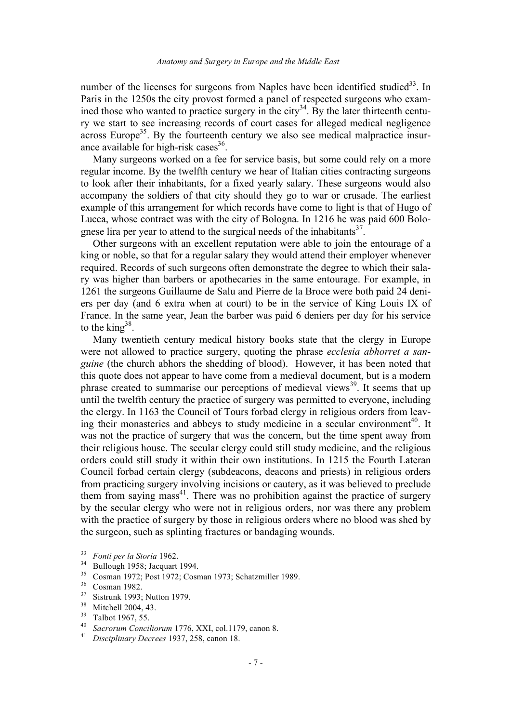number of the licenses for surgeons from Naples have been identified studied<sup>33</sup>. In Paris in the 1250s the city provost formed a panel of respected surgeons who examined those who wanted to practice surgery in the city<sup>34</sup>. By the later thirteenth century we start to see increasing records of court cases for alleged medical negligence across Europe<sup>35</sup>. By the fourteenth century we also see medical malpractice insurance available for high-risk cases  $36$ .

Many surgeons worked on a fee for service basis, but some could rely on a more regular income. By the twelfth century we hear of Italian cities contracting surgeons to look after their inhabitants, for a fixed yearly salary. These surgeons would also accompany the soldiers of that city should they go to war or crusade. The earliest example of this arrangement for which records have come to light is that of Hugo of Lucca, whose contract was with the city of Bologna. In 1216 he was paid 600 Bolognese lira per year to attend to the surgical needs of the inhabitants<sup>37</sup>.

Other surgeons with an excellent reputation were able to join the entourage of a king or noble, so that for a regular salary they would attend their employer whenever required. Records of such surgeons often demonstrate the degree to which their salary was higher than barbers or apothecaries in the same entourage. For example, in 1261 the surgeons Guillaume de Salu and Pierre de la Broce were both paid 24 deniers per day (and 6 extra when at court) to be in the service of King Louis IX of France. In the same year, Jean the barber was paid 6 deniers per day for his service to the king  $38$ .

Many twentieth century medical history books state that the clergy in Europe were not allowed to practice surgery, quoting the phrase *ecclesia abhorret a sanguine* (the church abhors the shedding of blood). However, it has been noted that this quote does not appear to have come from a medieval document, but is a modern phrase created to summarise our perceptions of medieval views<sup>39</sup>. It seems that up until the twelfth century the practice of surgery was permitted to everyone, including the clergy. In 1163 the Council of Tours forbad clergy in religious orders from leaving their monasteries and abbeys to study medicine in a secular environment<sup>40</sup>. It was not the practice of surgery that was the concern, but the time spent away from their religious house. The secular clergy could still study medicine, and the religious orders could still study it within their own institutions. In 1215 the Fourth Lateran Council forbad certain clergy (subdeacons, deacons and priests) in religious orders from practicing surgery involving incisions or cautery, as it was believed to preclude them from saying mass $41$ . There was no prohibition against the practice of surgery by the secular clergy who were not in religious orders, nor was there any problem with the practice of surgery by those in religious orders where no blood was shed by the surgeon, such as splinting fractures or bandaging wounds.

- $\frac{35}{36}$  Cosman 1972; Post 1972; Cosman 1973; Schatzmiller 1989.
- $\frac{36}{37}$  Cosman 1982.
- $^{37}$  Sistrunk 1993; Nutton 1979.
- $38$  Mitchell 2004, 43.
- $^{39}$  Talbot 1967, 55.
- <sup>40</sup> *Sacrorum Conciliorum* 1776, XXI, col.1179, canon 8.
- <sup>41</sup> *Disciplinary Decrees* 1937, 258, canon 18.

<sup>33</sup> *Fonti per la Storia* 1962.

 $\frac{34}{35}$  Bullough 1958; Jacquart 1994.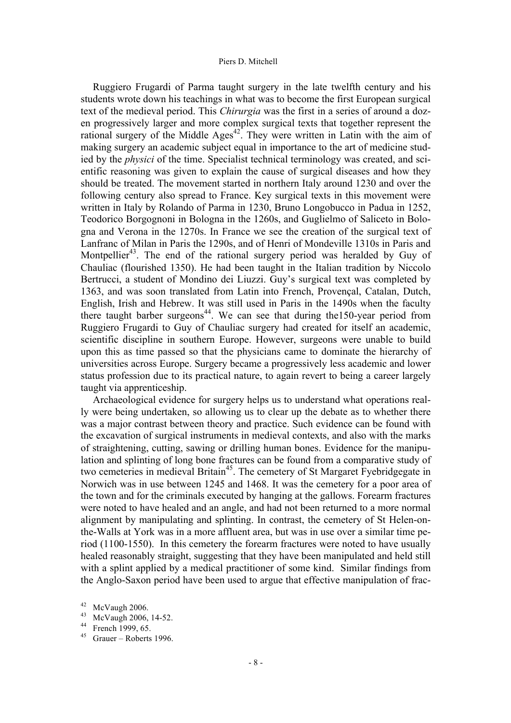Ruggiero Frugardi of Parma taught surgery in the late twelfth century and his students wrote down his teachings in what was to become the first European surgical text of the medieval period. This *Chirurgia* was the first in a series of around a dozen progressively larger and more complex surgical texts that together represent the rational surgery of the Middle Ages<sup>42</sup>. They were written in Latin with the aim of making surgery an academic subject equal in importance to the art of medicine studied by the *physici* of the time. Specialist technical terminology was created, and scientific reasoning was given to explain the cause of surgical diseases and how they should be treated. The movement started in northern Italy around 1230 and over the following century also spread to France. Key surgical texts in this movement were written in Italy by Rolando of Parma in 1230, Bruno Longobucco in Padua in 1252, Teodorico Borgognoni in Bologna in the 1260s, and Guglielmo of Saliceto in Bologna and Verona in the 1270s. In France we see the creation of the surgical text of Lanfranc of Milan in Paris the 1290s, and of Henri of Mondeville 1310s in Paris and Montpellier<sup>43</sup>. The end of the rational surgery period was heralded by Guy of Chauliac (flourished 1350). He had been taught in the Italian tradition by Niccolo Bertrucci, a student of Mondino dei Liuzzi. Guy's surgical text was completed by 1363, and was soon translated from Latin into French, Provençal, Catalan, Dutch, English, Irish and Hebrew. It was still used in Paris in the 1490s when the faculty there taught barber surgeons<sup>44</sup>. We can see that during the 150-year period from Ruggiero Frugardi to Guy of Chauliac surgery had created for itself an academic, scientific discipline in southern Europe. However, surgeons were unable to build upon this as time passed so that the physicians came to dominate the hierarchy of universities across Europe. Surgery became a progressively less academic and lower status profession due to its practical nature, to again revert to being a career largely taught via apprenticeship.

Archaeological evidence for surgery helps us to understand what operations really were being undertaken, so allowing us to clear up the debate as to whether there was a major contrast between theory and practice. Such evidence can be found with the excavation of surgical instruments in medieval contexts, and also with the marks of straightening, cutting, sawing or drilling human bones. Evidence for the manipulation and splinting of long bone fractures can be found from a comparative study of two cemeteries in medieval Britain<sup>45</sup>. The cemetery of St Margaret Fyebridgegate in Norwich was in use between 1245 and 1468. It was the cemetery for a poor area of the town and for the criminals executed by hanging at the gallows. Forearm fractures were noted to have healed and an angle, and had not been returned to a more normal alignment by manipulating and splinting. In contrast, the cemetery of St Helen-onthe-Walls at York was in a more affluent area, but was in use over a similar time period (1100-1550). In this cemetery the forearm fractures were noted to have usually healed reasonably straight, suggesting that they have been manipulated and held still with a splint applied by a medical practitioner of some kind. Similar findings from the Anglo-Saxon period have been used to argue that effective manipulation of frac-

 $42$  McVaugh 2006.

<sup>43</sup> McVaugh 2006, 14-52.

<sup>44</sup> French 1999, 65.

<sup>45</sup> Grauer – Roberts 1996.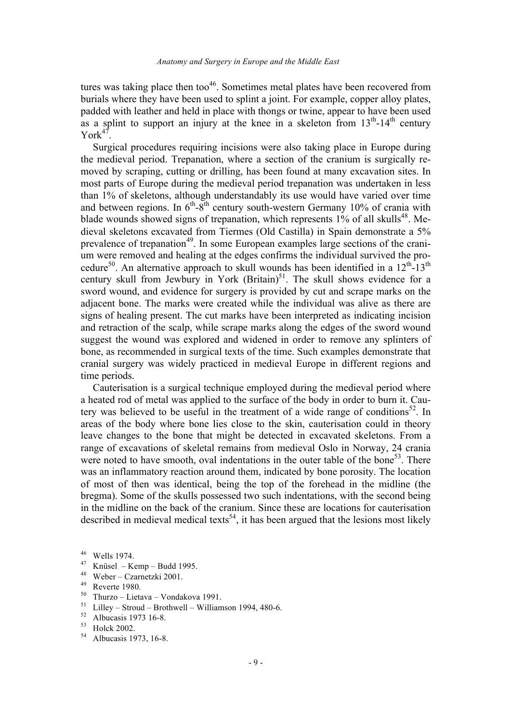tures was taking place then too<sup>46</sup>. Sometimes metal plates have been recovered from burials where they have been used to splint a joint. For example, copper alloy plates, padded with leather and held in place with thongs or twine, appear to have been used as a splint to support an injury at the knee in a skeleton from  $13<sup>th</sup>$ -14<sup>th</sup> century  $York<sup>47</sup>$ .

Surgical procedures requiring incisions were also taking place in Europe during the medieval period. Trepanation, where a section of the cranium is surgically removed by scraping, cutting or drilling, has been found at many excavation sites. In most parts of Europe during the medieval period trepanation was undertaken in less than 1% of skeletons, although understandably its use would have varied over time and between regions. In  $6<sup>th</sup>-8<sup>th</sup>$  century south-western Germany 10% of crania with blade wounds showed signs of trepanation, which represents  $1\%$  of all skulls<sup>48</sup>. Medieval skeletons excavated from Tiermes (Old Castilla) in Spain demonstrate a 5% prevalence of trepanation<sup>49</sup>. In some European examples large sections of the cranium were removed and healing at the edges confirms the individual survived the procedure<sup>50</sup>. An alternative approach to skull wounds has been identified in a  $12<sup>th</sup>$ -13<sup>th</sup> century skull from Jewbury in York  $(Britain)^{51}$ . The skull shows evidence for a sword wound, and evidence for surgery is provided by cut and scrape marks on the adjacent bone. The marks were created while the individual was alive as there are signs of healing present. The cut marks have been interpreted as indicating incision and retraction of the scalp, while scrape marks along the edges of the sword wound suggest the wound was explored and widened in order to remove any splinters of bone, as recommended in surgical texts of the time. Such examples demonstrate that cranial surgery was widely practiced in medieval Europe in different regions and time periods.

Cauterisation is a surgical technique employed during the medieval period where a heated rod of metal was applied to the surface of the body in order to burn it. Cautery was believed to be useful in the treatment of a wide range of conditions<sup>52</sup>. In areas of the body where bone lies close to the skin, cauterisation could in theory leave changes to the bone that might be detected in excavated skeletons. From a range of excavations of skeletal remains from medieval Oslo in Norway, 24 crania were noted to have smooth, oval indentations in the outer table of the bone<sup>53</sup>. There was an inflammatory reaction around them, indicated by bone porosity. The location of most of then was identical, being the top of the forehead in the midline (the bregma). Some of the skulls possessed two such indentations, with the second being in the midline on the back of the cranium. Since these are locations for cauterisation described in medieval medical texts<sup>54</sup>, it has been argued that the lesions most likely

- $^{48}$  Weber Czarnetzki 2001.
- $^{49}$  Reverte 1980.
- $^{50}$  Thurzo Lietava Vondakova 1991.<br> $^{51}$  Lilley Stroud Brothwell William
- <sup>51</sup> Lilley Stroud Brothwell Williamson 1994, 480-6.<br><sup>52</sup> Albuqqis 1973 16.8
- $^{52}$  Albucasis 1973 16-8.<br> $^{53}$  Holek 2002

Albucasis 1973, 16-8.

 $^{46}$  Wells 1974.

 $^{47}$  Knüsel – Kemp – Budd 1995.

 $^{53}$  Holck 2002.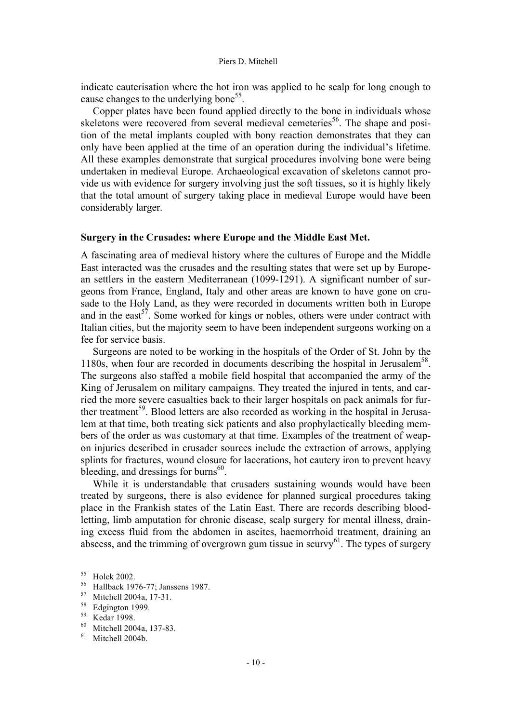indicate cauterisation where the hot iron was applied to he scalp for long enough to cause changes to the underlying bone<sup>55</sup>.

Copper plates have been found applied directly to the bone in individuals whose skeletons were recovered from several medieval cemeteries<sup>56</sup>. The shape and position of the metal implants coupled with bony reaction demonstrates that they can only have been applied at the time of an operation during the individual's lifetime. All these examples demonstrate that surgical procedures involving bone were being undertaken in medieval Europe. Archaeological excavation of skeletons cannot provide us with evidence for surgery involving just the soft tissues, so it is highly likely that the total amount of surgery taking place in medieval Europe would have been considerably larger.

# **Surgery in the Crusades: where Europe and the Middle East Met.**

A fascinating area of medieval history where the cultures of Europe and the Middle East interacted was the crusades and the resulting states that were set up by European settlers in the eastern Mediterranean (1099-1291). A significant number of surgeons from France, England, Italy and other areas are known to have gone on crusade to the Holy Land, as they were recorded in documents written both in Europe and in the east<sup>57</sup>. Some worked for kings or nobles, others were under contract with Italian cities, but the majority seem to have been independent surgeons working on a fee for service basis.

Surgeons are noted to be working in the hospitals of the Order of St. John by the 1180s, when four are recorded in documents describing the hospital in Jerusalem<sup>58</sup>. The surgeons also staffed a mobile field hospital that accompanied the army of the King of Jerusalem on military campaigns. They treated the injured in tents, and carried the more severe casualties back to their larger hospitals on pack animals for further treatment<sup>59</sup>. Blood letters are also recorded as working in the hospital in Jerusalem at that time, both treating sick patients and also prophylactically bleeding members of the order as was customary at that time. Examples of the treatment of weapon injuries described in crusader sources include the extraction of arrows, applying splints for fractures, wound closure for lacerations, hot cautery iron to prevent heavy bleeding, and dressings for burns<sup>60</sup>.

While it is understandable that crusaders sustaining wounds would have been treated by surgeons, there is also evidence for planned surgical procedures taking place in the Frankish states of the Latin East. There are records describing bloodletting, limb amputation for chronic disease, scalp surgery for mental illness, draining excess fluid from the abdomen in ascites, haemorrhoid treatment, draining an abscess, and the trimming of overgrown gum tissue in scurvy $^{61}$ . The types of surgery

 $^{56}$  Hallback 1976-77; Janssens 1987.<br> $^{57}$  Mitchell 2004a 17.31

 $^{58}$  Edgington 1999.

<sup>55</sup> Holck 2002.

 $^{57}$  Mitchell 2004a, 17-31.

 $^{59}$  Kedar 1998.<br> $^{60}$  Mitchell 200

 $^{60}$  Mitchell 2004a, 137-83.

Mitchell 2004b.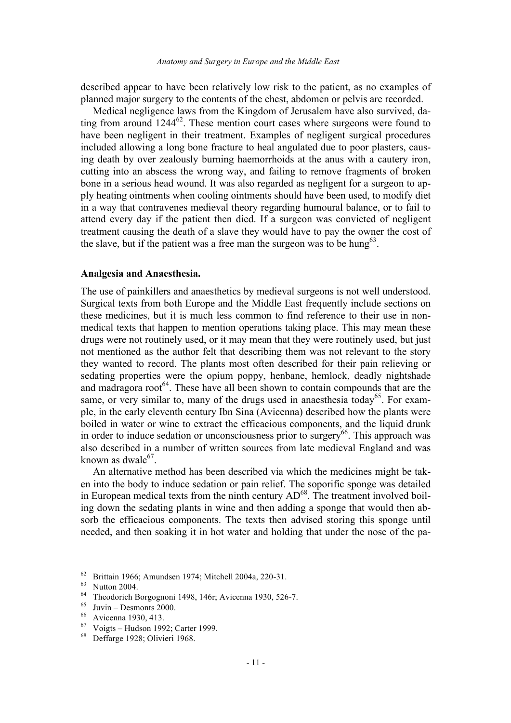described appear to have been relatively low risk to the patient, as no examples of planned major surgery to the contents of the chest, abdomen or pelvis are recorded.

Medical negligence laws from the Kingdom of Jerusalem have also survived, dating from around  $1244^{62}$ . These mention court cases where surgeons were found to have been negligent in their treatment. Examples of negligent surgical procedures included allowing a long bone fracture to heal angulated due to poor plasters, causing death by over zealously burning haemorrhoids at the anus with a cautery iron, cutting into an abscess the wrong way, and failing to remove fragments of broken bone in a serious head wound. It was also regarded as negligent for a surgeon to apply heating ointments when cooling ointments should have been used, to modify diet in a way that contravenes medieval theory regarding humoural balance, or to fail to attend every day if the patient then died. If a surgeon was convicted of negligent treatment causing the death of a slave they would have to pay the owner the cost of the slave, but if the patient was a free man the surgeon was to be hung<sup>63</sup>.

### **Analgesia and Anaesthesia.**

The use of painkillers and anaesthetics by medieval surgeons is not well understood. Surgical texts from both Europe and the Middle East frequently include sections on these medicines, but it is much less common to find reference to their use in nonmedical texts that happen to mention operations taking place. This may mean these drugs were not routinely used, or it may mean that they were routinely used, but just not mentioned as the author felt that describing them was not relevant to the story they wanted to record. The plants most often described for their pain relieving or sedating properties were the opium poppy, henbane, hemlock, deadly nightshade and madragora root<sup> $64$ </sup>. These have all been shown to contain compounds that are the same, or very similar to, many of the drugs used in anaesthesia today<sup>65</sup>. For example, in the early eleventh century Ibn Sina (Avicenna) described how the plants were boiled in water or wine to extract the efficacious components, and the liquid drunk in order to induce sedation or unconsciousness prior to surgery $^{66}$ . This approach was also described in a number of written sources from late medieval England and was known as dwale $^{67}$ .

An alternative method has been described via which the medicines might be taken into the body to induce sedation or pain relief. The soporific sponge was detailed in European medical texts from the ninth century  $AD^{68}$ . The treatment involved boiling down the sedating plants in wine and then adding a sponge that would then absorb the efficacious components. The texts then advised storing this sponge until needed, and then soaking it in hot water and holding that under the nose of the pa-

<sup>62</sup> Brittain 1966; Amundsen 1974; Mitchell 2004a, 220-31.

<sup>63</sup> Nutton 2004.

<sup>64</sup> Theodorich Borgognoni 1498, 146r; Avicenna 1930, 526-7.

 $\frac{65}{66}$  Juvin – Desmonts 2000.

 $^{66}$  Avicenna 1930, 413.

 $^{67}$  Voigts – Hudson 1992; Carter 1999.<br> $^{68}$  Deffarge 1928: Olivieri 1968

Deffarge 1928; Olivieri 1968.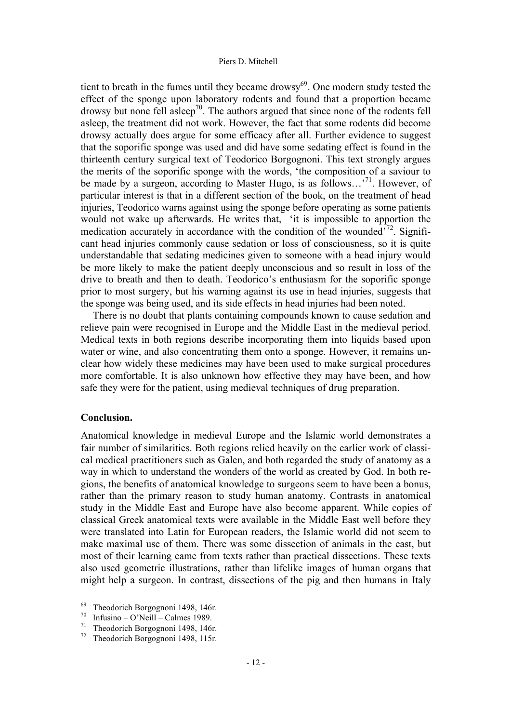tient to breath in the fumes until they became drowsy<sup>69</sup>. One modern study tested the effect of the sponge upon laboratory rodents and found that a proportion became drowsy but none fell asleep<sup>70</sup>. The authors argued that since none of the rodents fell asleep, the treatment did not work. However, the fact that some rodents did become drowsy actually does argue for some efficacy after all. Further evidence to suggest that the soporific sponge was used and did have some sedating effect is found in the thirteenth century surgical text of Teodorico Borgognoni. This text strongly argues the merits of the soporific sponge with the words, 'the composition of a saviour to be made by a surgeon, according to Master Hugo, is as follows...<sup>71</sup>. However, of particular interest is that in a different section of the book, on the treatment of head injuries, Teodorico warns against using the sponge before operating as some patients would not wake up afterwards. He writes that, 'it is impossible to apportion the medication accurately in accordance with the condition of the wounded $\frac{772}{72}$ . Significant head injuries commonly cause sedation or loss of consciousness, so it is quite understandable that sedating medicines given to someone with a head injury would be more likely to make the patient deeply unconscious and so result in loss of the drive to breath and then to death. Teodorico's enthusiasm for the soporific sponge prior to most surgery, but his warning against its use in head injuries, suggests that the sponge was being used, and its side effects in head injuries had been noted.

There is no doubt that plants containing compounds known to cause sedation and relieve pain were recognised in Europe and the Middle East in the medieval period. Medical texts in both regions describe incorporating them into liquids based upon water or wine, and also concentrating them onto a sponge. However, it remains unclear how widely these medicines may have been used to make surgical procedures more comfortable. It is also unknown how effective they may have been, and how safe they were for the patient, using medieval techniques of drug preparation.

# **Conclusion.**

Anatomical knowledge in medieval Europe and the Islamic world demonstrates a fair number of similarities. Both regions relied heavily on the earlier work of classical medical practitioners such as Galen, and both regarded the study of anatomy as a way in which to understand the wonders of the world as created by God. In both regions, the benefits of anatomical knowledge to surgeons seem to have been a bonus, rather than the primary reason to study human anatomy. Contrasts in anatomical study in the Middle East and Europe have also become apparent. While copies of classical Greek anatomical texts were available in the Middle East well before they were translated into Latin for European readers, the Islamic world did not seem to make maximal use of them. There was some dissection of animals in the east, but most of their learning came from texts rather than practical dissections. These texts also used geometric illustrations, rather than lifelike images of human organs that might help a surgeon. In contrast, dissections of the pig and then humans in Italy

<sup>&</sup>lt;sup>69</sup> Theodorich Borgognoni 1498, 146r.<br><sup>70</sup> Infusing O'Neill Calmes 1989

 $\frac{70}{71}$  Infusino – O'Neill – Calmes 1989.

<sup>&</sup>lt;sup>71</sup> Theodorich Borgognoni 1498, 146r.<br><sup>72</sup> Theodorich Borgognoni 1498, 115r.

Theodorich Borgognoni 1498, 115r.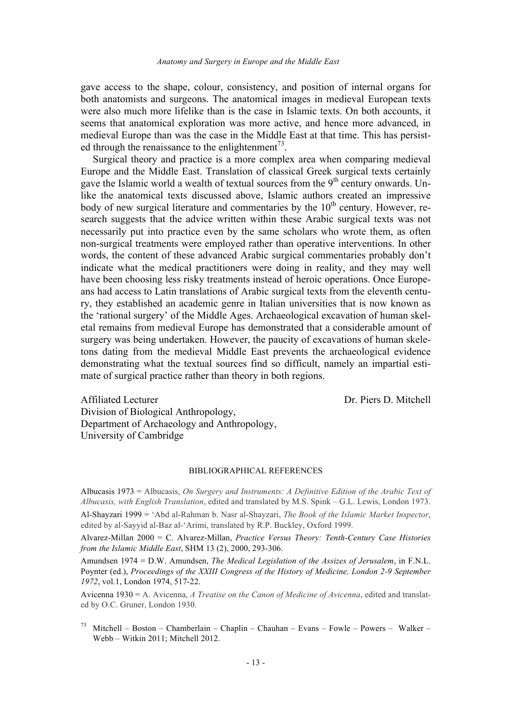gave access to the shape, colour, consistency, and position of internal organs for both anatomists and surgeons. The anatomical images in medieval European texts were also much more lifelike than is the case in Islamic texts. On both accounts, it seems that anatomical exploration was more active, and hence more advanced, in medieval Europe than was the case in the Middle East at that time. This has persisted through the renaissance to the enlightenment<sup> $^{73}$ </sup>.

Surgical theory and practice is a more complex area when comparing medieval Europe and the Middle East. Translation of classical Greek surgical texts certainly gave the Islamic world a wealth of textual sources from the  $9<sup>th</sup>$  century onwards. Unlike the anatomical texts discussed above, Islamic authors created an impressive body of new surgical literature and commentaries by the  $10<sup>th</sup>$  century. However, research suggests that the advice written within these Arabic surgical texts was not necessarily put into practice even by the same scholars who wrote them, as often non-surgical treatments were employed rather than operative interventions. In other words, the content of these advanced Arabic surgical commentaries probably don't indicate what the medical practitioners were doing in reality, and they may well have been choosing less risky treatments instead of heroic operations. Once Europeans had access to Latin translations of Arabic surgical texts from the eleventh century, they established an academic genre in Italian universities that is now known as the 'rational surgery' of the Middle Ages. Archaeological excavation of human skeletal remains from medieval Europe has demonstrated that a considerable amount of surgery was being undertaken. However, the paucity of excavations of human skeletons dating from the medieval Middle East prevents the archaeological evidence demonstrating what the textual sources find so difficult, namely an impartial estimate of surgical practice rather than theory in both regions.

Dr. Piers D. Mitchell

Affiliated Lecturer Division of Biological Anthropology, Department of Archaeology and Anthropology, University of Cambridge

### BIBLIOGRAPHICAL REFERENCES

Albucasis 1973 = Albucasis, *On Surgery and Instruments: A Definitive Edition of the Arabic Text of Albucasis, with English Translation*, edited and translated by M.S. Spink – G.L. Lewis, London 1973.

Al-Shayzari 1999 = 'Abd al-Rahman b. Nasr al-Shayzari, *The Book of the Islamic Market Inspector*, edited by al-Sayyid al-Baz al-'Arimi, translated by R.P. Buckley, Oxford 1999.

Alvarez-Millan 2000 = C. Alvarez-Millan, *Practice Versus Theory: Tenth-Century Case Histories from the Islamic Middle East*, SHM 13 (2), 2000, 293-306.

Amundsen 1974 = D.W. Amundsen, *The Medical Legislation of the Assizes of Jerusalem*, in F.N.L. Poynter (ed.), *Proceedings of the XXIII Congress of the History of Medicine, London 2-9 September 1972*, vol.1, London 1974, 517-22.

Avicenna 1930 = A. Avicenna, *A Treatise on the Canon of Medicine of Avicenna*, edited and translated by O.C. Gruner, London 1930.

<sup>73</sup> Mitchell – Boston – Chamberlain – Chaplin – Chauhan – Evans – Fowle – Powers – Walker – Webb – Witkin 2011; Mitchell 2012.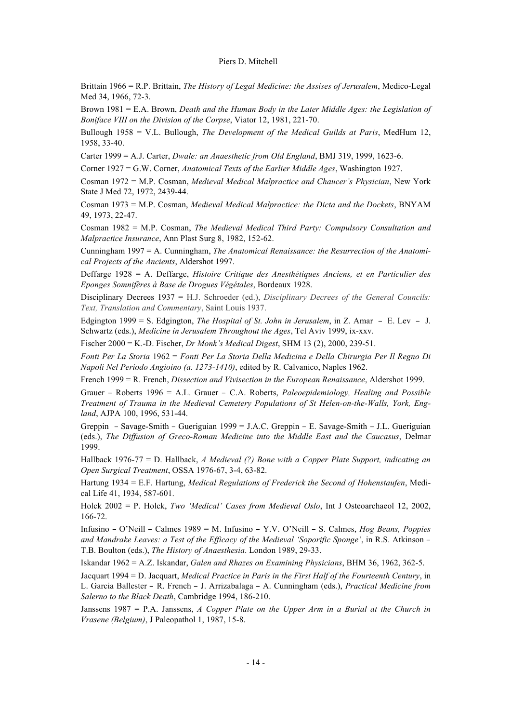Brittain 1966 = R.P. Brittain, *The History of Legal Medicine: the Assises of Jerusalem*, Medico-Legal Med 34, 1966, 72-3.

Brown 1981 = E.A. Brown, *Death and the Human Body in the Later Middle Ages: the Legislation of Boniface VIII on the Division of the Corpse*, Viator 12, 1981, 221-70.

Bullough 1958 = V.L. Bullough, *The Development of the Medical Guilds at Paris*, MedHum 12, 1958, 33-40.

Carter 1999 = A.J. Carter, *Dwale: an Anaesthetic from Old England*, BMJ 319, 1999, 1623-6.

Corner 1927 = G.W. Corner, *Anatomical Texts of the Earlier Middle Ages*, Washington 1927.

Cosman 1972 = M.P. Cosman, *Medieval Medical Malpractice and Chaucer's Physician*, New York State J Med 72, 1972, 2439-44.

Cosman 1973 = M.P. Cosman, *Medieval Medical Malpractice: the Dicta and the Dockets*, BNYAM 49, 1973, 22-47.

Cosman 1982 = M.P. Cosman, *The Medieval Medical Third Party: Compulsory Consultation and Malpractice Insurance*, Ann Plast Surg 8, 1982, 152-62.

Cunningham 1997 = A. Cunningham, *The Anatomical Renaissance: the Resurrection of the Anatomical Projects of the Ancients*, Aldershot 1997.

Deffarge 1928 = A. Deffarge, *Histoire Critique des Anesthétiques Anciens, et en Particulier des Eponges Somnifères à Base de Drogues Végétales*, Bordeaux 1928.

Disciplinary Decrees 1937 = H.J. Schroeder (ed.), *Disciplinary Decrees of the General Councils: Text, Translation and Commentary*, Saint Louis 1937.

Edgington 1999 = S. Edgington, *The Hospital of St. John in Jerusalem*, in Z. Amar – E. Lev – J. Schwartz (eds.), *Medicine in Jerusalem Throughout the Ages*, Tel Aviv 1999, ix-xxv.

Fischer 2000 = K.-D. Fischer, *Dr Monk's Medical Digest*, SHM 13 (2), 2000, 239-51.

*Fonti Per La Storia* 1962 = *Fonti Per La Storia Della Medicina e Della Chirurgia Per Il Regno Di Napoli Nel Periodo Angioino (a. 1273-1410)*, edited by R. Calvanico, Naples 1962.

French 1999 = R. French, *Dissection and Vivisection in the European Renaissance*, Aldershot 1999.

Grauer – Roberts 1996 = A.L. Grauer – C.A. Roberts, *Paleoepidemiology, Healing and Possible Treatment of Trauma in the Medieval Cemetery Populations of St Helen-on-the-Walls, York, England*, AJPA 100, 1996, 531-44.

Greppin – Savage-Smith – Gueriguian 1999 = J.A.C. Greppin – E. Savage-Smith – J.L. Gueriguian (eds.), *The Diffusion of Greco-Roman Medicine into the Middle East and the Caucasus*, Delmar 1999.

Hallback 1976-77 = D. Hallback, *A Medieval (?) Bone with a Copper Plate Support, indicating an Open Surgical Treatment*, OSSA 1976-67, 3-4, 63-82.

Hartung 1934 = E.F. Hartung, *Medical Regulations of Frederick the Second of Hohenstaufen*, Medical Life 41, 1934, 587-601.

Holck 2002 = P. Holck, *Two 'Medical' Cases from Medieval Oslo*, Int J Osteoarchaeol 12, 2002, 166-72.

Infusino – O'Neill – Calmes 1989 = M. Infusino – Y.V. O'Neill – S. Calmes, *Hog Beans, Poppies and Mandrake Leaves: a Test of the Efficacy of the Medieval 'Soporific Sponge'*, in R.S. Atkinson – T.B. Boulton (eds.), *The History of Anaesthesia*. London 1989, 29-33.

Iskandar 1962 = A.Z. Iskandar, *Galen and Rhazes on Examining Physicians*, BHM 36, 1962, 362-5.

Jacquart 1994 = D. Jacquart, *Medical Practice in Paris in the First Half of the Fourteenth Century*, in L. Garcia Ballester – R. French – J. Arrizabalaga – A. Cunningham (eds.), *Practical Medicine from Salerno to the Black Death*, Cambridge 1994, 186-210.

Janssens 1987 = P.A. Janssens, *A Copper Plate on the Upper Arm in a Burial at the Church in Vrasene (Belgium)*, J Paleopathol 1, 1987, 15-8.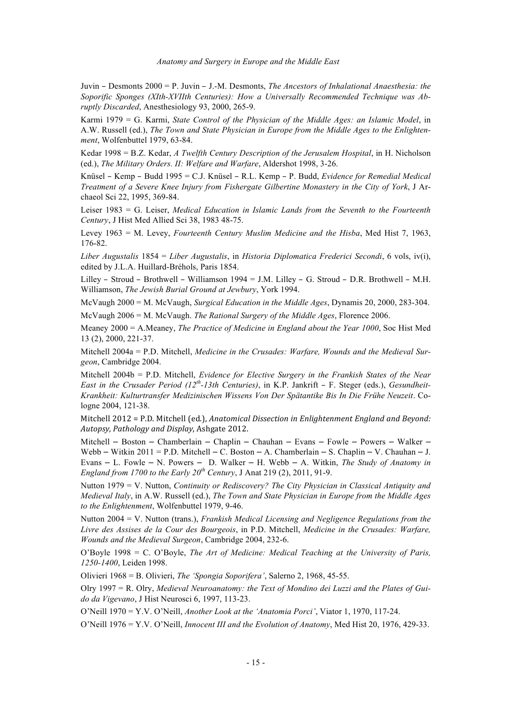*Anatomy and Surgery in Europe and the Middle East*

Juvin – Desmonts 2000 = P. Juvin – J.-M. Desmonts, *The Ancestors of Inhalational Anaesthesia: the Soporific Sponges (XIth-XVIIth Centuries): How a Universally Recommended Technique was Abruptly Discarded*, Anesthesiology 93, 2000, 265-9.

Karmi 1979 = G. Karmi, *State Control of the Physician of the Middle Ages: an Islamic Model*, in A.W. Russell (ed.), *The Town and State Physician in Europe from the Middle Ages to the Enlightenment*, Wolfenbuttel 1979, 63-84.

Kedar 1998 = B.Z. Kedar, *A Twelfth Century Description of the Jerusalem Hospital*, in H. Nicholson (ed.), *The Military Orders. II: Welfare and Warfare*, Aldershot 1998, 3-26.

Knüsel – Kemp – Budd 1995 = C.J. Knüsel – R.L. Kemp – P. Budd, *Evidence for Remedial Medical Treatment of a Severe Knee Injury from Fishergate Gilbertine Monastery in the City of York*, J Archaeol Sci 22, 1995, 369-84.

Leiser 1983 = G. Leiser, *Medical Education in Islamic Lands from the Seventh to the Fourteenth Century*, J Hist Med Allied Sci 38, 1983 48-75.

Levey 1963 = M. Levey, *Fourteenth Century Muslim Medicine and the Hisba*, Med Hist 7, 1963, 176-82.

*Liber Augustalis* 1854 = *Liber Augustalis*, in *Historia Diplomatica Frederici Secondi*, 6 vols, iv(i), edited by J.L.A. Huillard-Bréhols, Paris 1854.

Lilley – Stroud – Brothwell – Williamson 1994 = J.M. Lilley – G. Stroud – D.R. Brothwell – M.H. Williamson, *The Jewish Burial Ground at Jewbury*, York 1994.

McVaugh 2000 = M. McVaugh, *Surgical Education in the Middle Ages*, Dynamis 20, 2000, 283-304. McVaugh 2006 = M. McVaugh. *The Rational Surgery of the Middle Ages*, Florence 2006.

Meaney 2000 = A.Meaney, *The Practice of Medicine in England about the Year 1000*, Soc Hist Med 13 (2), 2000, 221-37.

Mitchell 2004a = P.D. Mitchell, *Medicine in the Crusades: Warfare, Wounds and the Medieval Surgeon*, Cambridge 2004.

Mitchell 2004b = P.D. Mitchell, *Evidence for Elective Surgery in the Frankish States of the Near East in the Crusader Period (12th-13th Centuries)*, in K.P. Jankrift – F. Steger (eds.), *Gesundheit-Krankheit: Kulturtransfer Medizinischen Wissens Von Der Spätantike Bis In Die Frühe Neuzeit*. Cologne 2004, 121-38.

Mitchell 2012 = P.D. Mitchell (ed.), *Anatomical Dissection in Enlightenment England and Beyond: Autopsy, Pathology and Display*, Ashgate 2012.

Mitchell – Boston – Chamberlain – Chaplin – Chauhan – Evans – Fowle – Powers – Walker – Webb – Witkin 2011 = P.D. Mitchell – C. Boston – A. Chamberlain – S. Chaplin – V. Chauhan – J. Evans – L. Fowle – N. Powers – D. Walker – H. Webb – A. Witkin, *The Study of Anatomy in England from 1700 to the Early 20th Century*, J Anat 219 (2), 2011, 91-9.

Nutton 1979 = V. Nutton, *Continuity or Rediscovery? The City Physician in Classical Antiquity and Medieval Italy*, in A.W. Russell (ed.), *The Town and State Physician in Europe from the Middle Ages to the Enlightenment*, Wolfenbuttel 1979, 9-46.

Nutton 2004 = V. Nutton (trans.), *Frankish Medical Licensing and Negligence Regulations from the Livre des Assises de la Cour des Bourgeois*, in P.D. Mitchell, *Medicine in the Crusades: Warfare, Wounds and the Medieval Surgeon*, Cambridge 2004, 232-6.

O'Boyle 1998 = C. O'Boyle, *The Art of Medicine: Medical Teaching at the University of Paris, 1250-1400*, Leiden 1998.

Olivieri 1968 = B. Olivieri, *The 'Spongia Soporifera'*, Salerno 2, 1968, 45-55.

Olry 1997 = R. Olry, *Medieval Neuroanatomy: the Text of Mondino dei Luzzi and the Plates of Guido da Vigevano*, J Hist Neurosci 6, 1997, 113-23.

O'Neill 1970 = Y.V. O'Neill, *Another Look at the 'Anatomia Porci'*, Viator 1, 1970, 117-24.

O'Neill 1976 = Y.V. O'Neill, *Innocent III and the Evolution of Anatomy*, Med Hist 20, 1976, 429-33.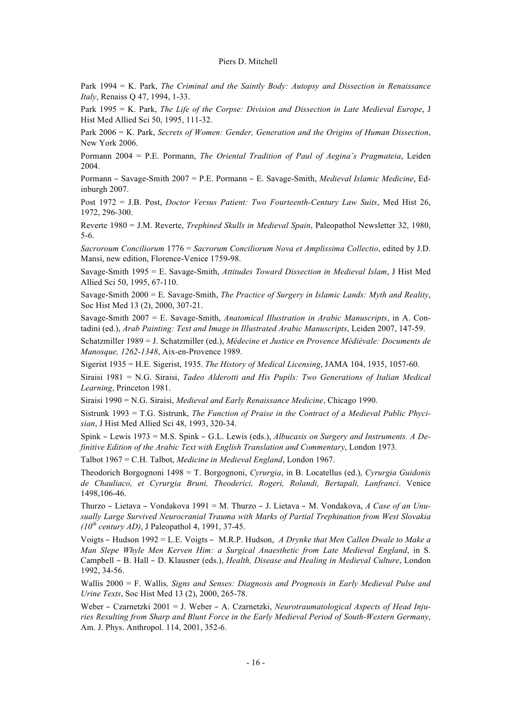Park 1994 = K. Park, *The Criminal and the Saintly Body: Autopsy and Dissection in Renaissance Italy*, Renaiss Q 47, 1994, 1-33.

Park 1995 = K. Park, *The Life of the Corpse: Division and Dissection in Late Medieval Europe*, J Hist Med Allied Sci 50, 1995, 111-32.

Park 2006 = K. Park, *Secrets of Women: Gender, Generation and the Origins of Human Dissection*, New York 2006.

Pormann 2004 = P.E. Pormann, *The Oriental Tradition of Paul of Aegina's Pragmateia*, Leiden 2004.

Pormann – Savage-Smith 2007 = P.E. Pormann – E. Savage-Smith, *Medieval Islamic Medicine*, Edinburgh 2007.

Post 1972 = J.B. Post, *Doctor Versus Patient: Two Fourteenth-Century Law Suits*, Med Hist 26, 1972, 296-300.

Reverte 1980 = J.M. Reverte, *Trephined Skulls in Medieval Spain*, Paleopathol Newsletter 32, 1980, 5-6.

*Sacroroum Conciliorum* 1776 = *Sacrorum Conciliorum Nova et Amplissima Collectio*, edited by J.D. Mansi, new edition, Florence-Venice 1759-98.

Savage-Smith 1995 = E. Savage-Smith, *Attitudes Toward Dissection in Medieval Islam*, J Hist Med Allied Sci 50, 1995, 67-110.

Savage-Smith 2000 = E. Savage-Smith, *The Practice of Surgery in Islamic Lands: Myth and Reality*, Soc Hist Med 13 (2), 2000, 307-21.

Savage-Smith 2007 = E. Savage-Smith, *Anatomical Illustration in Arabic Manuscripts*, in A. Contadini (ed.), *Arab Painting: Text and Image in Illustrated Arabic Manuscripts*, Leiden 2007, 147-59.

Schatzmiller 1989 = J. Schatzmiller (ed.), *Médecine et Justice en Provence Médiévale: Documents de Manosque, 1262-1348*, Aix-en-Provence 1989.

Sigerist 1935 = H.E. Sigerist, 1935. *The History of Medical Licensing*, JAMA 104, 1935, 1057-60.

Siraisi 1981 = N.G. Siraisi, *Tadeo Alderotti and His Pupils: Two Generations of Italian Medical Learning*, Princeton 1981.

Siraisi 1990 = N.G. Siraisi, *Medieval and Early Renaissance Medicine*, Chicago 1990.

Sistrunk 1993 = T.G. Sistrunk, *The Function of Praise in the Contract of a Medieval Public Phycisian*, J Hist Med Allied Sci 48, 1993, 320-34.

Spink – Lewis 1973 = M.S. Spink – G.L. Lewis (eds.), *Albucasis on Surgery and Instruments. A Definitive Edition of the Arabic Text with English Translation and Commentary*, London 1973.

Talbot 1967 = C.H. Talbot, *Medicine in Medieval England*, London 1967.

Theodorich Borgognoni 1498 = T. Borgognoni, *Cyrurgia*, in B. Locatellus (ed.), *Cyrurgia Guidonis de Chauliaco, et Cyrurgia Bruni, Theoderici, Rogeri, Rolandi, Bertapali, Lanfranci*. Venice 1498,106-46.

Thurzo – Lietava – Vondakova 1991 = M. Thurzo – J. Lietava – M. Vondakova, *A Case of an Unusually Large Survived Neurocranial Trauma with Marks of Partial Trephination from West Slovakia (10th century AD)*, J Paleopathol 4, 1991, 37-45.

Voigts – Hudson 1992 = L.E. Voigts – M.R.P. Hudson, *A Drynke that Men Callen Dwale to Make a Man Slepe Whyle Men Kerven Him: a Surgical Anaesthetic from Late Medieval England*, in S. Campbell – B. Hall – D. Klausner (eds.), *Health, Disease and Healing in Medieval Culture*, London 1992, 34-56.

Wallis 2000 = F. Wallis*, Signs and Senses: Diagnosis and Prognosis in Early Medieval Pulse and Urine Texts*, Soc Hist Med 13 (2), 2000, 265-78.

Weber – Czarnetzki 2001 = J. Weber – A. Czarnetzki, *Neurotraumatological Aspects of Head Injuries Resulting from Sharp and Blunt Force in the Early Medieval Period of South-Western Germany*, Am. J. Phys. Anthropol. 114, 2001, 352-6.